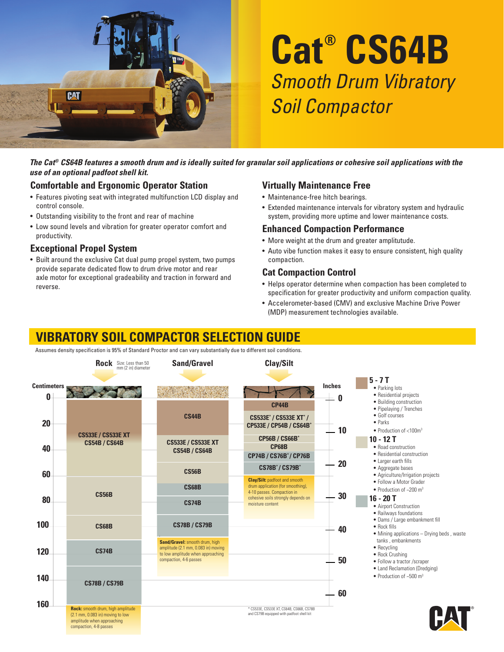

# **Cat® CS64B** Smooth Drum Vibratory Soil Compactor

*The Cat® CS64B features a smooth drum and is ideally suited for granular soil applications or cohesive soil applications with the use of an optional padfoot shell kit.*

### **Comfortable and Ergonomic Operator Station**

- Features pivoting seat with integrated multifunction LCD display and control console.
- Outstanding visibility to the front and rear of machine
- Low sound levels and vibration for greater operator comfort and productivity.

### **Exceptional Propel System**

• Built around the exclusive Cat dual pump propel system, two pumps provide separate dedicated flow to drum drive motor and rear axle motor for exceptional gradeability and traction in forward and reverse.

### **Virtually Maintenance Free**

- Maintenance-free hitch bearings.
- Extended maintenance intervals for vibratory system and hydraulic system, providing more uptime and lower maintenance costs.

### **Enhanced Compaction Performance**

- More weight at the drum and greater amplitutude.
- Auto vibe function makes it easy to ensure consistent, high quality compaction.

### **Cat Compaction Control**

- Helps operator determine when compaction has been completed to specification for greater productivity and uniform compaction quality.
- Accelerometer-based (CMV) and exclusive Machine Drive Power (MDP) measurement technologies available.

## **VIBRATORY SOIL COMPACTOR SELECTION GUIDE**

Assumes density specification is 95% of Standard Proctor and can vary substantially due to different soil conditions.

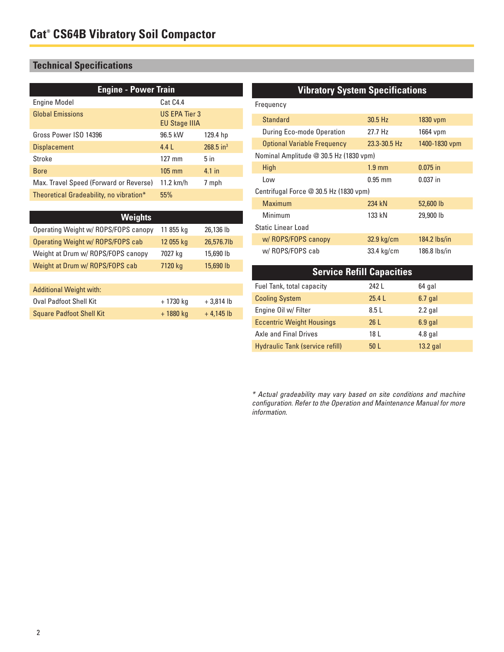### **Technical Specifications**

| <b>Engine - Power Train</b>             |                                       |                         |  |
|-----------------------------------------|---------------------------------------|-------------------------|--|
| <b>Engine Model</b>                     | Cat C4.4                              |                         |  |
| <b>Global Emissions</b>                 | US EPA Tier 3<br><b>EU Stage IIIA</b> |                         |  |
| Gross Power ISO 14396                   | 96.5 kW                               | 129.4 hp                |  |
| <b>Displacement</b>                     | 4.4L                                  | $268.5$ in <sup>3</sup> |  |
| Stroke                                  | $127 \text{ mm}$                      | 5 <sub>in</sub>         |  |
| <b>Bore</b>                             | $105 \text{ mm}$                      | 4.1 in                  |  |
| Max. Travel Speed (Forward or Reverse)  | $11.2$ km/h                           | 7 mph                   |  |
| Theoretical Gradeability, no vibration* | 55%                                   |                         |  |

| <b>Weights</b>                       |           |            |
|--------------------------------------|-----------|------------|
| Operating Weight w/ ROPS/FOPS canopy | 11 855 kg | 26,136 lb  |
| Operating Weight w/ ROPS/FOPS cab    | 12 055 kg | 26,576.7lb |
| Weight at Drum w/ ROPS/FOPS canopy   | 7027 kg   | 15,690 lb  |
| Weight at Drum w/ ROPS/FOPS cab      | 7120 kg   | 15,690 lb  |

| <b>Additional Weight with:</b>  |           |             |
|---------------------------------|-----------|-------------|
| <b>Oval Padfoot Shell Kit</b>   | + 1730 ka | $+3.814$ lb |
| <b>Square Padfoot Shell Kit</b> | + 1880 kg | $+4.145$ lb |

### **Vibratory System Specifications**

| Frequency                              |                  |                |  |  |
|----------------------------------------|------------------|----------------|--|--|
| Standard                               | $30.5$ Hz        | 1830 vpm       |  |  |
| During Eco-mode Operation              | 27.7 Hz          | 1664 vpm       |  |  |
| <b>Optional Variable Frequency</b>     | 23.3-30.5 Hz     | 1400-1830 vpm  |  |  |
| Nominal Amplitude @ 30.5 Hz (1830 vpm) |                  |                |  |  |
| <b>High</b>                            | $1.9 \text{ mm}$ | $0.075$ in     |  |  |
| Low                                    | $0.95$ mm        | $0.037$ in     |  |  |
| Centrifugal Force @ 30.5 Hz (1830 vpm) |                  |                |  |  |
| Maximum                                | 234 kN           | 52,600 lb      |  |  |
| Minimum                                | 133 kN           | 29,900 lb      |  |  |
| Static Linear Load                     |                  |                |  |  |
| w/ROPS/FOPS canopy                     | 32.9 kg/cm       | $184.2$ lbs/in |  |  |
| w/ROPS/FOPS cab                        | 33.4 kg/cm       | 186.8 lbs/in   |  |  |

| <b>Service Refill Capacities</b> |                 |           |  |
|----------------------------------|-----------------|-----------|--|
| Fuel Tank, total capacity        | 242 L           | 64 gal    |  |
| <b>Cooling System</b>            | $25.4$          | $6.7$ gal |  |
| Engine Oil w/ Filter             | 8.5L            | $2.2$ gal |  |
| <b>Eccentric Weight Housings</b> | 26L             | $6.9$ gal |  |
| Axle and Final Drives            | 18 L            | $4.8$ gal |  |
| Hydraulic Tank (service refill)  | 50 <sub>L</sub> | 13.2 gal  |  |

\* Actual gradeability may vary based on site conditions and machine configuration. Refer to the Operation and Maintenance Manual for more information.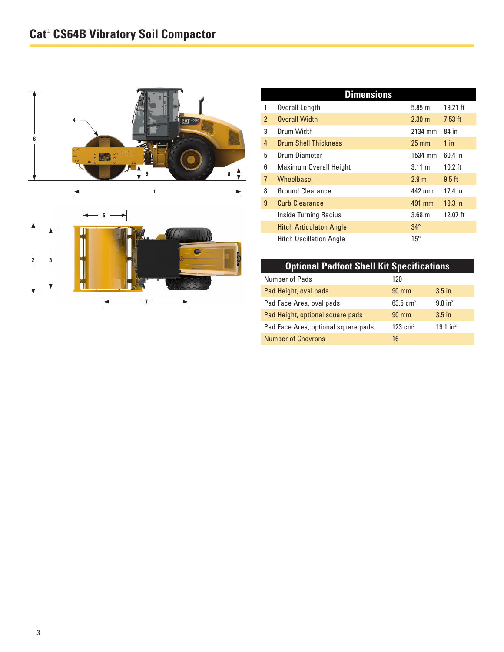

| <b>Dimensions</b> |                                |                   |            |  |
|-------------------|--------------------------------|-------------------|------------|--|
| 1                 | Overall Length                 | 5.85 m            | 19.21 ft   |  |
| $\mathcal{P}$     | <b>Overall Width</b>           | $2.30 \text{ m}$  | $7.53$ ft  |  |
| 3                 | Drum Width                     | 2134 mm           | 84 in      |  |
| 4                 | <b>Drum Shell Thickness</b>    | $25 \text{ mm}$   | $1$ in     |  |
| 5                 | Drum Diameter                  | 1534 mm           | 60.4 in    |  |
| 6                 | Maximum Overall Height         | $3.11 \text{ m}$  | $10.2$ ft  |  |
| 7                 | <b>Wheelbase</b>               | 2.9 <sub>m</sub>  | $9.5$ ft   |  |
| 8                 | Ground Clearance               | 442 mm            | 17.4 in    |  |
| 9                 | <b>Curb Clearance</b>          | 491 mm            | $19.3$ in  |  |
|                   | <b>Inside Turning Radius</b>   | 3.68 <sub>m</sub> | $12.07$ ft |  |
|                   | <b>Hitch Articulaton Angle</b> | $34^\circ$        |            |  |
|                   | <b>Hitch Oscillation Angle</b> | $15^{\circ}$      |            |  |

### **Optional Padfoot Shell Kit Specifications**

| Number of Pads                      | 120                |                        |
|-------------------------------------|--------------------|------------------------|
| Pad Height, oval pads               | $90 \text{ mm}$    | $3.5$ in               |
| Pad Face Area, oval pads            | 63.5 $cm2$         | $9.8$ in <sup>2</sup>  |
| Pad Height, optional square pads    | $90 \text{ mm}$    | $3.5$ in               |
| Pad Face Area, optional square pads | $123 \text{ cm}^2$ | $19.1$ in <sup>2</sup> |
| <b>Number of Chevrons</b>           | 16                 |                        |